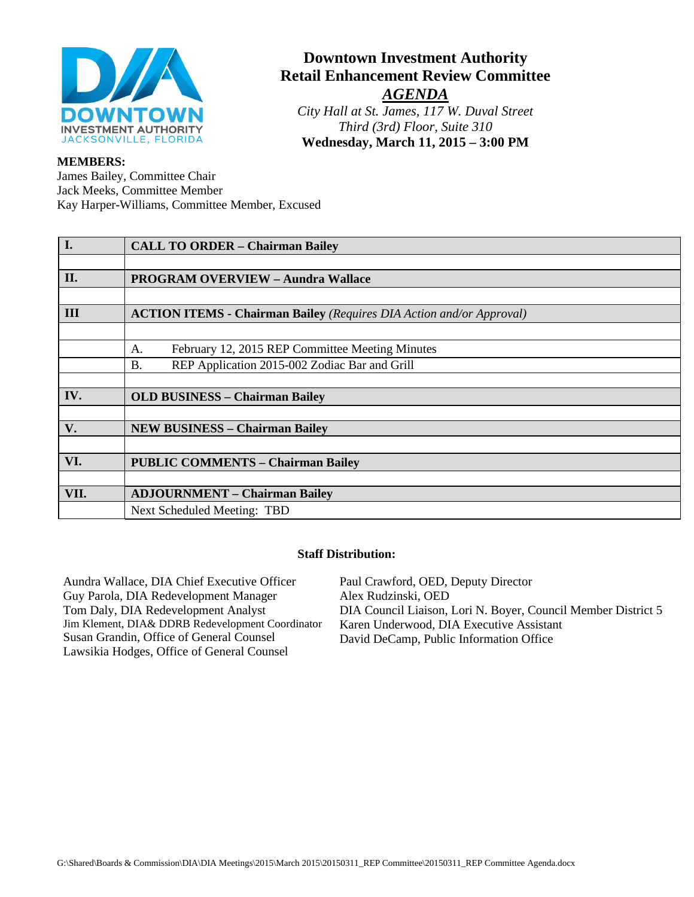

# **Downtown Investment Authority Retail Enhancement Review Committee** *AGENDA*

*City Hall at St. James, 117 W. Duval Street Third (3rd) Floor, Suite 310* **Wednesday, March 11, 2015 – 3:00 PM**

#### **MEMBERS:**

James Bailey, Committee Chair Jack Meeks, Committee Member Kay Harper-Williams, Committee Member, Excused

| I.   | <b>CALL TO ORDER - Chairman Bailey</b>                                      |
|------|-----------------------------------------------------------------------------|
|      |                                                                             |
| II.  | <b>PROGRAM OVERVIEW - Aundra Wallace</b>                                    |
|      |                                                                             |
| III  | <b>ACTION ITEMS - Chairman Bailey (Requires DIA Action and/or Approval)</b> |
|      |                                                                             |
|      | February 12, 2015 REP Committee Meeting Minutes<br>A.                       |
|      | REP Application 2015-002 Zodiac Bar and Grill<br><b>B.</b>                  |
|      |                                                                             |
| IV.  | <b>OLD BUSINESS - Chairman Bailey</b>                                       |
|      |                                                                             |
| V.   | <b>NEW BUSINESS - Chairman Bailey</b>                                       |
|      |                                                                             |
| VI.  | <b>PUBLIC COMMENTS - Chairman Bailey</b>                                    |
|      |                                                                             |
| VII. | <b>ADJOURNMENT – Chairman Bailey</b>                                        |
|      | Next Scheduled Meeting: TBD                                                 |

## **Staff Distribution:**

Aundra Wallace, DIA Chief Executive Officer Guy Parola, DIA Redevelopment Manager Tom Daly, DIA Redevelopment Analyst Jim Klement, DIA& DDRB Redevelopment Coordinator Susan Grandin, Office of General Counsel Lawsikia Hodges, Office of General Counsel Paul Crawford, OED, Deputy Director Alex Rudzinski, OED DIA Council Liaison, Lori N. Boyer, Council Member District 5 Karen Underwood, DIA Executive Assistant David DeCamp, Public Information Office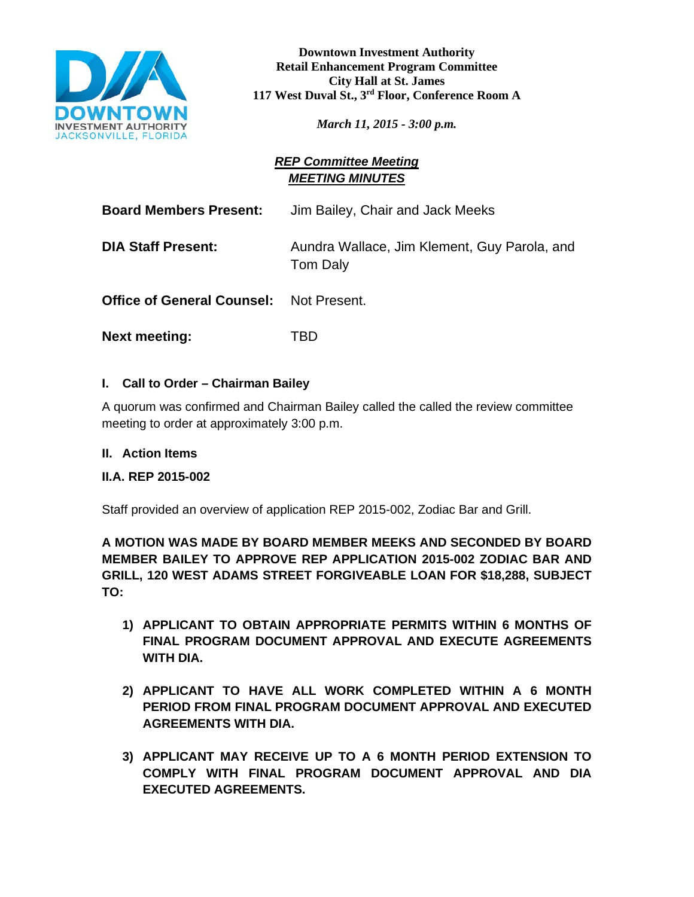

**Downtown Investment Authority Retail Enhancement Program Committee City Hall at St. James 117 West Duval St., 3rd Floor, Conference Room A**

*March 11, 2015 - 3:00 p.m.*

# *REP Committee Meeting MEETING MINUTES*

**Board Members Present:** Jim Bailey, Chair and Jack Meeks **DIA Staff Present:** Aundra Wallace, Jim Klement, Guy Parola, and Tom Daly

**Office of General Counsel:** Not Present.

**Next meeting:** TBD

# **I. Call to Order – Chairman Bailey**

A quorum was confirmed and Chairman Bailey called the called the review committee meeting to order at approximately 3:00 p.m.

# **II. Action Items**

# **II.A. REP 2015-002**

Staff provided an overview of application REP 2015-002, Zodiac Bar and Grill.

**A MOTION WAS MADE BY BOARD MEMBER MEEKS AND SECONDED BY BOARD MEMBER BAILEY TO APPROVE REP APPLICATION 2015-002 ZODIAC BAR AND GRILL, 120 WEST ADAMS STREET FORGIVEABLE LOAN FOR \$18,288, SUBJECT TO:**

- **1) APPLICANT TO OBTAIN APPROPRIATE PERMITS WITHIN 6 MONTHS OF FINAL PROGRAM DOCUMENT APPROVAL AND EXECUTE AGREEMENTS WITH DIA.**
- **2) APPLICANT TO HAVE ALL WORK COMPLETED WITHIN A 6 MONTH PERIOD FROM FINAL PROGRAM DOCUMENT APPROVAL AND EXECUTED AGREEMENTS WITH DIA.**
- **3) APPLICANT MAY RECEIVE UP TO A 6 MONTH PERIOD EXTENSION TO COMPLY WITH FINAL PROGRAM DOCUMENT APPROVAL AND DIA EXECUTED AGREEMENTS.**